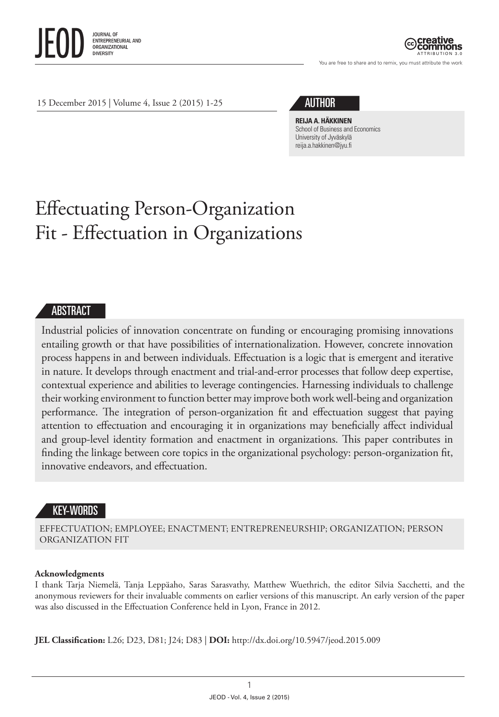

ATTRIBUTION 3.0

You are free to share and to remix, you must attribute the work

15 December 2015 | Volume 4, Issue 2 (2015) 1-25

# AUTHOR

**REIJA A. HÄKKINEN** School of Business and Economics University of Jyväskylä [reija.a.hakkinen@jyu.fi](mailto:reija.a.hakkinen@jyu.fi)

# Effectuating Person-Organization Fit - Effectuation in Organizations

#### ABSTRACT

Industrial policies of innovation concentrate on funding or encouraging promising innovations entailing growth or that have possibilities of internationalization. However, concrete innovation process happens in and between individuals. Effectuation is a logic that is emergent and iterative in nature. It develops through enactment and trial-and-error processes that follow deep expertise, contextual experience and abilities to leverage contingencies. Harnessing individuals to challenge their working environment to function better may improve both work well-being and organization performance. The integration of person-organization fit and effectuation suggest that paying attention to effectuation and encouraging it in organizations may beneficially affect individual and group-level identity formation and enactment in organizations. This paper contributes in finding the linkage between core topics in the organizational psychology: person-organization fit, innovative endeavors, and effectuation.

### KEY-WORDS

EFFECTUATION; EMPLOYEE; ENACTMENT; ENTREPRENEURSHIP; ORGANIZATION; PERSON ORGANIZATION FIT

#### **Acknowledgments**

I thank Tarja Niemelä, Tanja Leppäaho, Saras Sarasvathy, Matthew Wuethrich, the editor Silvia Sacchetti, and the anonymous reviewers for their invaluable comments on earlier versions of this manuscript. An early version of the paper was also discussed in the Effectuation Conference held in Lyon, France in 2012.

**JEL Classification:** L26; D23, D81; J24; D83 | **DOI:** [http://dx.doi.org/10.5947/jeod.2015.009](http://dx.doi.org/10.5947/jeod.2015.008)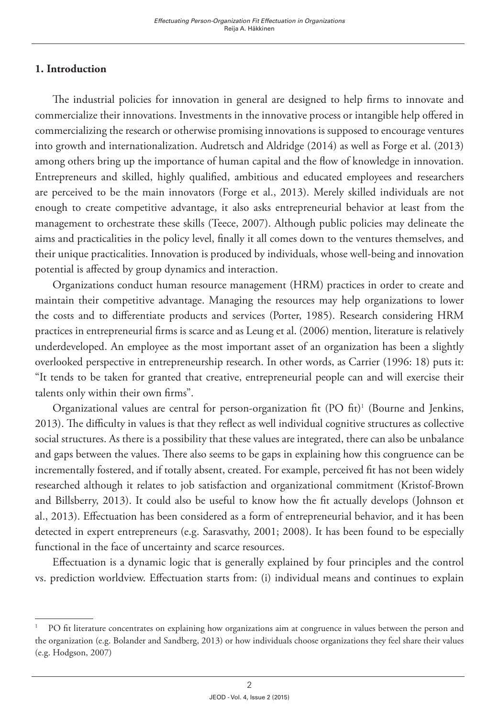# **1. Introduction**

The industrial policies for innovation in general are designed to help firms to innovate and commercialize their innovations. Investments in the innovative process or intangible help offered in commercializing the research or otherwise promising innovations is supposed to encourage ventures into growth and internationalization. Audretsch and Aldridge (2014) as well as Forge et al. (2013) among others bring up the importance of human capital and the flow of knowledge in innovation. Entrepreneurs and skilled, highly qualified, ambitious and educated employees and researchers are perceived to be the main innovators (Forge et al., 2013). Merely skilled individuals are not enough to create competitive advantage, it also asks entrepreneurial behavior at least from the management to orchestrate these skills (Teece, 2007). Although public policies may delineate the aims and practicalities in the policy level, finally it all comes down to the ventures themselves, and their unique practicalities. Innovation is produced by individuals, whose well-being and innovation potential is affected by group dynamics and interaction.

Organizations conduct human resource management (HRM) practices in order to create and maintain their competitive advantage. Managing the resources may help organizations to lower the costs and to differentiate products and services (Porter, 1985). Research considering HRM practices in entrepreneurial firms is scarce and as Leung et al. (2006) mention, literature is relatively underdeveloped. An employee as the most important asset of an organization has been a slightly overlooked perspective in entrepreneurship research. In other words, as Carrier (1996: 18) puts it: "It tends to be taken for granted that creative, entrepreneurial people can and will exercise their talents only within their own firms".

Organizational values are central for person-organization fit (PO fit)<sup>1</sup> (Bourne and Jenkins, 2013). The difficulty in values is that they reflect as well individual cognitive structures as collective social structures. As there is a possibility that these values are integrated, there can also be unbalance and gaps between the values. There also seems to be gaps in explaining how this congruence can be incrementally fostered, and if totally absent, created. For example, perceived fit has not been widely researched although it relates to job satisfaction and organizational commitment (Kristof-Brown and Billsberry, 2013). It could also be useful to know how the fit actually develops (Johnson et al., 2013). Effectuation has been considered as a form of entrepreneurial behavior, and it has been detected in expert entrepreneurs (e.g. Sarasvathy, 2001; 2008). It has been found to be especially functional in the face of uncertainty and scarce resources.

Effectuation is a dynamic logic that is generally explained by four principles and the control vs. prediction worldview. Effectuation starts from: (i) individual means and continues to explain

<sup>1</sup> PO fit literature concentrates on explaining how organizations aim at congruence in values between the person and the organization (e.g. Bolander and Sandberg, 2013) or how individuals choose organizations they feel share their values (e.g. Hodgson, 2007)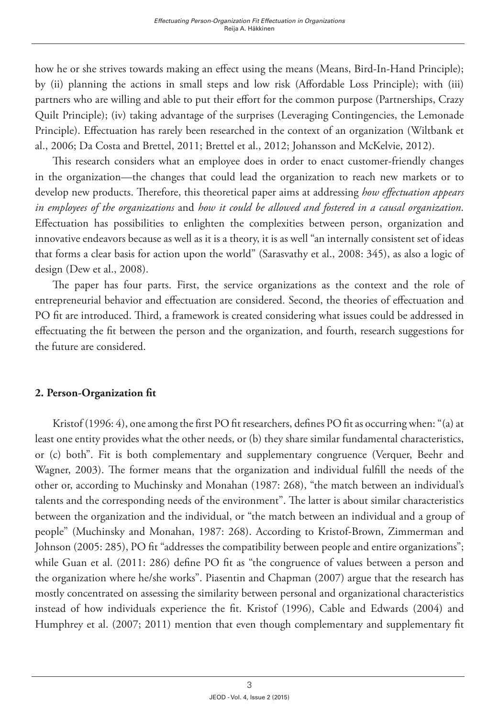how he or she strives towards making an effect using the means (Means, Bird-In-Hand Principle); by (ii) planning the actions in small steps and low risk (Affordable Loss Principle); with (iii) partners who are willing and able to put their effort for the common purpose (Partnerships, Crazy Quilt Principle); (iv) taking advantage of the surprises (Leveraging Contingencies, the Lemonade Principle). Effectuation has rarely been researched in the context of an organization (Wiltbank et al., 2006; Da Costa and Brettel, 2011; Brettel et al., 2012; Johansson and McKelvie, 2012).

This research considers what an employee does in order to enact customer-friendly changes in the organization—the changes that could lead the organization to reach new markets or to develop new products. Therefore, this theoretical paper aims at addressing *how effectuation appears in employees of the organizations* and *how it could be allowed and fostered in a causal organization*. Effectuation has possibilities to enlighten the complexities between person, organization and innovative endeavors because as well as it is a theory, it is as well "an internally consistent set of ideas that forms a clear basis for action upon the world" (Sarasvathy et al., 2008: 345), as also a logic of design (Dew et al., 2008).

The paper has four parts. First, the service organizations as the context and the role of entrepreneurial behavior and effectuation are considered. Second, the theories of effectuation and PO fit are introduced. Third, a framework is created considering what issues could be addressed in effectuating the fit between the person and the organization, and fourth, research suggestions for the future are considered.

### **2. Person-Organization fit**

Kristof (1996: 4), one among the first PO fit researchers, defines PO fit as occurring when: "(a) at least one entity provides what the other needs, or (b) they share similar fundamental characteristics, or (c) both". Fit is both complementary and supplementary congruence (Verquer, Beehr and Wagner, 2003). The former means that the organization and individual fulfill the needs of the other or, according to Muchinsky and Monahan (1987: 268), "the match between an individual's talents and the corresponding needs of the environment". The latter is about similar characteristics between the organization and the individual, or "the match between an individual and a group of people" (Muchinsky and Monahan, 1987: 268). According to Kristof-Brown, Zimmerman and Johnson (2005: 285), PO fit "addresses the compatibility between people and entire organizations"; while Guan et al. (2011: 286) define PO fit as "the congruence of values between a person and the organization where he/she works". Piasentin and Chapman (2007) argue that the research has mostly concentrated on assessing the similarity between personal and organizational characteristics instead of how individuals experience the fit. Kristof (1996), Cable and Edwards (2004) and Humphrey et al. (2007; 2011) mention that even though complementary and supplementary fit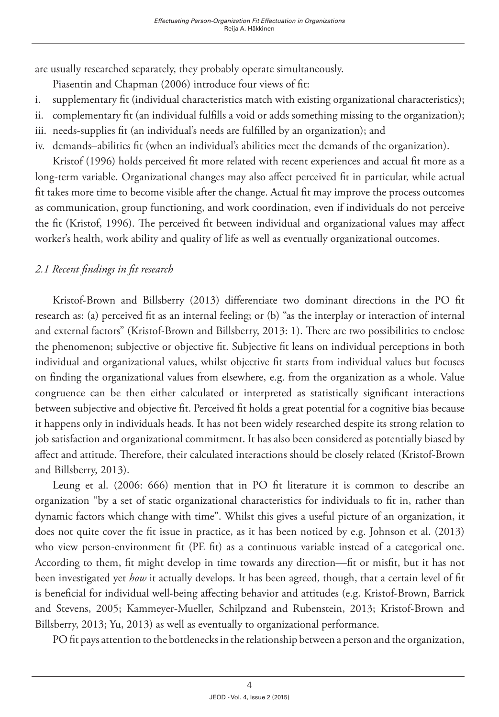are usually researched separately, they probably operate simultaneously.

Piasentin and Chapman (2006) introduce four views of fit:

- i. supplementary fit (individual characteristics match with existing organizational characteristics);
- ii. complementary fit (an individual fulfills a void or adds something missing to the organization);
- iii. needs-supplies fit (an individual's needs are fulfilled by an organization); and
- iv. demands–abilities fit (when an individual's abilities meet the demands of the organization).

Kristof (1996) holds perceived fit more related with recent experiences and actual fit more as a long-term variable. Organizational changes may also affect perceived fit in particular, while actual fit takes more time to become visible after the change. Actual fit may improve the process outcomes as communication, group functioning, and work coordination, even if individuals do not perceive the fit (Kristof, 1996). The perceived fit between individual and organizational values may affect worker's health, work ability and quality of life as well as eventually organizational outcomes.

# *2.1 Recent findings in fit research*

Kristof-Brown and Billsberry (2013) differentiate two dominant directions in the PO fit research as: (a) perceived fit as an internal feeling; or (b) "as the interplay or interaction of internal and external factors" (Kristof-Brown and Billsberry, 2013: 1). There are two possibilities to enclose the phenomenon; subjective or objective fit. Subjective fit leans on individual perceptions in both individual and organizational values, whilst objective fit starts from individual values but focuses on finding the organizational values from elsewhere, e.g. from the organization as a whole. Value congruence can be then either calculated or interpreted as statistically significant interactions between subjective and objective fit. Perceived fit holds a great potential for a cognitive bias because it happens only in individuals heads. It has not been widely researched despite its strong relation to job satisfaction and organizational commitment. It has also been considered as potentially biased by affect and attitude. Therefore, their calculated interactions should be closely related (Kristof-Brown and Billsberry, 2013).

Leung et al. (2006: 666) mention that in PO fit literature it is common to describe an organization "by a set of static organizational characteristics for individuals to fit in, rather than dynamic factors which change with time". Whilst this gives a useful picture of an organization, it does not quite cover the fit issue in practice, as it has been noticed by e.g. Johnson et al. (2013) who view person-environment fit (PE fit) as a continuous variable instead of a categorical one. According to them, fit might develop in time towards any direction—fit or misfit, but it has not been investigated yet *how* it actually develops. It has been agreed, though, that a certain level of fit is beneficial for individual well-being affecting behavior and attitudes (e.g. Kristof-Brown, Barrick and Stevens, 2005; Kammeyer-Mueller, Schilpzand and Rubenstein, 2013; Kristof-Brown and Billsberry, 2013; Yu, 2013) as well as eventually to organizational performance.

PO fit pays attention to the bottlenecks in the relationship between a person and the organization,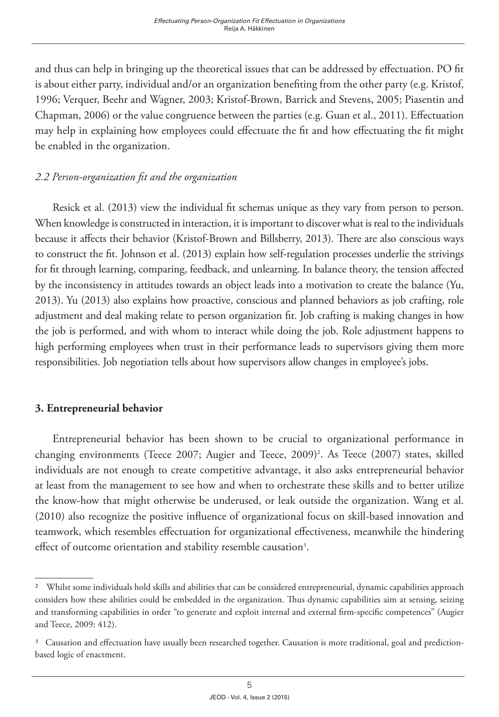and thus can help in bringing up the theoretical issues that can be addressed by effectuation. PO fit is about either party, individual and/or an organization benefiting from the other party (e.g. Kristof, 1996; Verquer, Beehr and Wagner, 2003; Kristof-Brown, Barrick and Stevens, 2005; Piasentin and Chapman, 2006) or the value congruence between the parties (e.g. Guan et al., 2011). Effectuation may help in explaining how employees could effectuate the fit and how effectuating the fit might be enabled in the organization.

## *2.2 Person-organization fit and the organization*

Resick et al. (2013) view the individual fit schemas unique as they vary from person to person. When knowledge is constructed in interaction, it is important to discover what is real to the individuals because it affects their behavior (Kristof-Brown and Billsberry, 2013). There are also conscious ways to construct the fit. Johnson et al. (2013) explain how self-regulation processes underlie the strivings for fit through learning, comparing, feedback, and unlearning. In balance theory, the tension affected by the inconsistency in attitudes towards an object leads into a motivation to create the balance (Yu, 2013). Yu (2013) also explains how proactive, conscious and planned behaviors as job crafting, role adjustment and deal making relate to person organization fit. Job crafting is making changes in how the job is performed, and with whom to interact while doing the job. Role adjustment happens to high performing employees when trust in their performance leads to supervisors giving them more responsibilities. Job negotiation tells about how supervisors allow changes in employee's jobs.

## **3. Entrepreneurial behavior**

Entrepreneurial behavior has been shown to be crucial to organizational performance in changing environments (Teece 2007; Augier and Teece, 2009)<sup>2</sup>. As Teece (2007) states, skilled individuals are not enough to create competitive advantage, it also asks entrepreneurial behavior at least from the management to see how and when to orchestrate these skills and to better utilize the know-how that might otherwise be underused, or leak outside the organization. Wang et al. (2010) also recognize the positive influence of organizational focus on skill-based innovation and teamwork, which resembles effectuation for organizational effectiveness, meanwhile the hindering effect of outcome orientation and stability resemble causation<sup>3</sup>.

<sup>2</sup> Whilst some individuals hold skills and abilities that can be considered entrepreneurial, dynamic capabilities approach considers how these abilities could be embedded in the organization. Thus dynamic capabilities aim at sensing, seizing and transforming capabilities in order "to generate and exploit internal and external firm-specific competences" (Augier and Teece, 2009: 412).

<sup>&</sup>lt;sup>3</sup> Causation and effectuation have usually been researched together. Causation is more traditional, goal and predictionbased logic of enactment.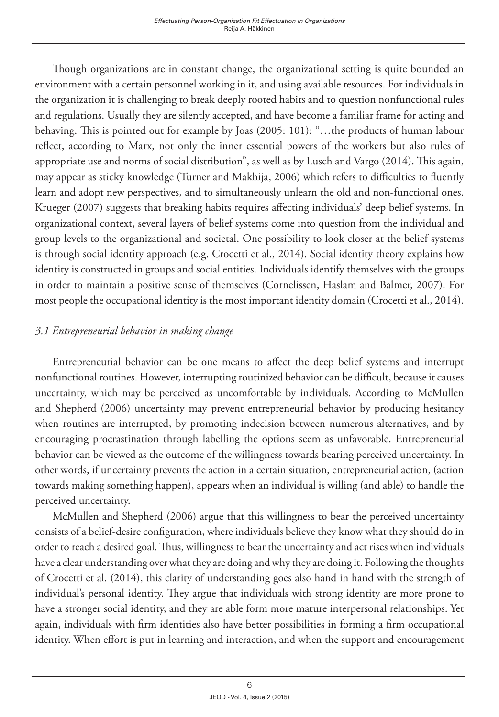Though organizations are in constant change, the organizational setting is quite bounded an environment with a certain personnel working in it, and using available resources. For individuals in the organization it is challenging to break deeply rooted habits and to question nonfunctional rules and regulations. Usually they are silently accepted, and have become a familiar frame for acting and behaving. This is pointed out for example by Joas (2005: 101): "…the products of human labour reflect, according to Marx, not only the inner essential powers of the workers but also rules of appropriate use and norms of social distribution", as well as by Lusch and Vargo (2014). This again, may appear as sticky knowledge (Turner and Makhija, 2006) which refers to difficulties to fluently learn and adopt new perspectives, and to simultaneously unlearn the old and non-functional ones. Krueger (2007) suggests that breaking habits requires affecting individuals' deep belief systems. In organizational context, several layers of belief systems come into question from the individual and group levels to the organizational and societal. One possibility to look closer at the belief systems is through social identity approach (e.g. Crocetti et al., 2014). Social identity theory explains how identity is constructed in groups and social entities. Individuals identify themselves with the groups in order to maintain a positive sense of themselves (Cornelissen, Haslam and Balmer, 2007). For most people the occupational identity is the most important identity domain (Crocetti et al., 2014).

## *3.1 Entrepreneurial behavior in making change*

Entrepreneurial behavior can be one means to affect the deep belief systems and interrupt nonfunctional routines. However, interrupting routinized behavior can be difficult, because it causes uncertainty, which may be perceived as uncomfortable by individuals. According to McMullen and Shepherd (2006) uncertainty may prevent entrepreneurial behavior by producing hesitancy when routines are interrupted, by promoting indecision between numerous alternatives, and by encouraging procrastination through labelling the options seem as unfavorable. Entrepreneurial behavior can be viewed as the outcome of the willingness towards bearing perceived uncertainty. In other words, if uncertainty prevents the action in a certain situation, entrepreneurial action, (action towards making something happen), appears when an individual is willing (and able) to handle the perceived uncertainty.

McMullen and Shepherd (2006) argue that this willingness to bear the perceived uncertainty consists of a belief-desire configuration, where individuals believe they know what they should do in order to reach a desired goal. Thus, willingness to bear the uncertainty and act rises when individuals have a clear understanding over what they are doing and why they are doing it. Following the thoughts of Crocetti et al. (2014), this clarity of understanding goes also hand in hand with the strength of individual's personal identity. They argue that individuals with strong identity are more prone to have a stronger social identity, and they are able form more mature interpersonal relationships. Yet again, individuals with firm identities also have better possibilities in forming a firm occupational identity. When effort is put in learning and interaction, and when the support and encouragement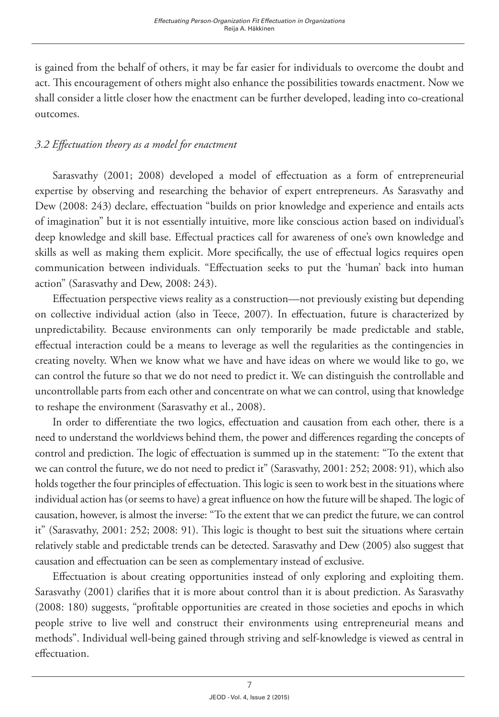is gained from the behalf of others, it may be far easier for individuals to overcome the doubt and act. This encouragement of others might also enhance the possibilities towards enactment. Now we shall consider a little closer how the enactment can be further developed, leading into co-creational outcomes.

# *3.2 Effectuation theory as a model for enactment*

Sarasvathy (2001; 2008) developed a model of effectuation as a form of entrepreneurial expertise by observing and researching the behavior of expert entrepreneurs. As Sarasvathy and Dew (2008: 243) declare, effectuation "builds on prior knowledge and experience and entails acts of imagination" but it is not essentially intuitive, more like conscious action based on individual's deep knowledge and skill base. Effectual practices call for awareness of one's own knowledge and skills as well as making them explicit. More specifically, the use of effectual logics requires open communication between individuals. "Effectuation seeks to put the 'human' back into human action" (Sarasvathy and Dew, 2008: 243).

Effectuation perspective views reality as a construction—not previously existing but depending on collective individual action (also in Teece, 2007). In effectuation, future is characterized by unpredictability. Because environments can only temporarily be made predictable and stable, effectual interaction could be a means to leverage as well the regularities as the contingencies in creating novelty. When we know what we have and have ideas on where we would like to go, we can control the future so that we do not need to predict it. We can distinguish the controllable and uncontrollable parts from each other and concentrate on what we can control, using that knowledge to reshape the environment (Sarasvathy et al., 2008).

In order to differentiate the two logics, effectuation and causation from each other, there is a need to understand the worldviews behind them, the power and differences regarding the concepts of control and prediction. The logic of effectuation is summed up in the statement: "To the extent that we can control the future, we do not need to predict it" (Sarasvathy, 2001: 252; 2008: 91), which also holds together the four principles of effectuation. This logic is seen to work best in the situations where individual action has (or seems to have) a great influence on how the future will be shaped. The logic of causation, however, is almost the inverse: "To the extent that we can predict the future, we can control it" (Sarasvathy, 2001: 252; 2008: 91). This logic is thought to best suit the situations where certain relatively stable and predictable trends can be detected. Sarasvathy and Dew (2005) also suggest that causation and effectuation can be seen as complementary instead of exclusive.

Effectuation is about creating opportunities instead of only exploring and exploiting them. Sarasvathy (2001) clarifies that it is more about control than it is about prediction. As Sarasvathy (2008: 180) suggests, "profitable opportunities are created in those societies and epochs in which people strive to live well and construct their environments using entrepreneurial means and methods". Individual well-being gained through striving and self-knowledge is viewed as central in effectuation.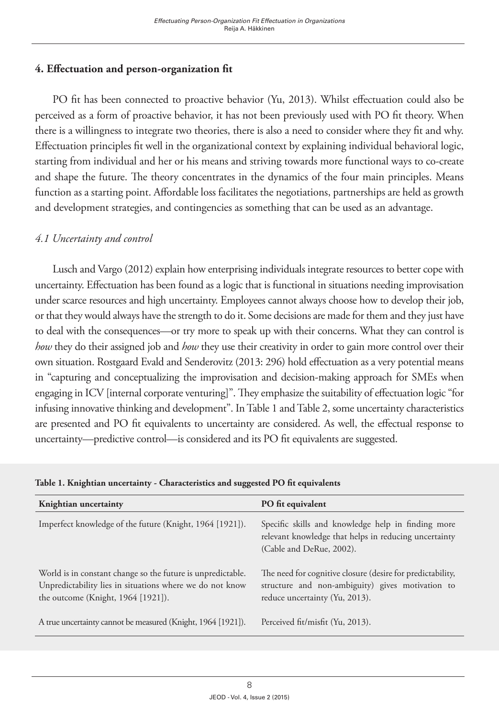# **4. Effectuation and person-organization fit**

PO fit has been connected to proactive behavior (Yu, 2013). Whilst effectuation could also be perceived as a form of proactive behavior, it has not been previously used with PO fit theory. When there is a willingness to integrate two theories, there is also a need to consider where they fit and why. Effectuation principles fit well in the organizational context by explaining individual behavioral logic, starting from individual and her or his means and striving towards more functional ways to co-create and shape the future. The theory concentrates in the dynamics of the four main principles. Means function as a starting point. Affordable loss facilitates the negotiations, partnerships are held as growth and development strategies, and contingencies as something that can be used as an advantage.

# *4.1 Uncertainty and control*

Lusch and Vargo (2012) explain how enterprising individuals integrate resources to better cope with uncertainty. Effectuation has been found as a logic that is functional in situations needing improvisation under scarce resources and high uncertainty. Employees cannot always choose how to develop their job, or that they would always have the strength to do it. Some decisions are made for them and they just have to deal with the consequences—or try more to speak up with their concerns. What they can control is *how* they do their assigned job and *how* they use their creativity in order to gain more control over their own situation. Rostgaard Evald and Senderovitz (2013: 296) hold effectuation as a very potential means in "capturing and conceptualizing the improvisation and decision-making approach for SMEs when engaging in ICV [internal corporate venturing]". They emphasize the suitability of effectuation logic "for infusing innovative thinking and development". In Table 1 and Table 2, some uncertainty characteristics are presented and PO fit equivalents to uncertainty are considered. As well, the effectual response to uncertainty—predictive control—is considered and its PO fit equivalents are suggested.

| Knightian uncertainty                                                                                                                                         | PO fit equivalent                                                                                                                                |
|---------------------------------------------------------------------------------------------------------------------------------------------------------------|--------------------------------------------------------------------------------------------------------------------------------------------------|
| Imperfect knowledge of the future (Knight, 1964 [1921]).                                                                                                      | Specific skills and knowledge help in finding more<br>relevant knowledge that helps in reducing uncertainty<br>(Cable and DeRue, 2002).          |
| World is in constant change so the future is unpredictable.<br>Unpredictability lies in situations where we do not know<br>the outcome (Knight, 1964 [1921]). | The need for cognitive closure (desire for predictability,<br>structure and non-ambiguity) gives motivation to<br>reduce uncertainty (Yu, 2013). |
| A true uncertainty cannot be measured (Knight, 1964 [1921]).                                                                                                  | Perceived fit/misfit (Yu, 2013).                                                                                                                 |

**Table 1. Knightian uncertainty - Characteristics and suggested PO fit equivalents**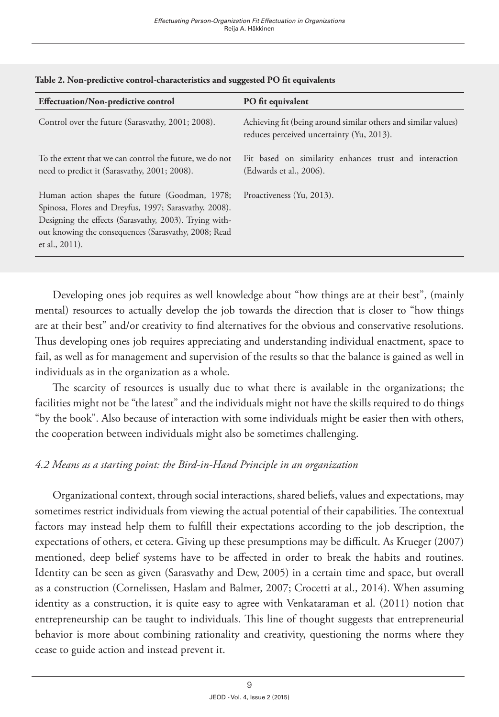| <b>Effectuation/Non-predictive control</b>                                                                                                                                                                                                  | PO fit equivalent                                                                                           |
|---------------------------------------------------------------------------------------------------------------------------------------------------------------------------------------------------------------------------------------------|-------------------------------------------------------------------------------------------------------------|
| Control over the future (Sarasvathy, 2001; 2008).                                                                                                                                                                                           | Achieving fit (being around similar others and similar values)<br>reduces perceived uncertainty (Yu, 2013). |
| To the extent that we can control the future, we do not<br>need to predict it (Sarasvathy, 2001; 2008).                                                                                                                                     | Fit based on similarity enhances trust and interaction<br>(Edwards et al., 2006).                           |
| Human action shapes the future (Goodman, 1978;<br>Spinosa, Flores and Dreyfus, 1997; Sarasvathy, 2008).<br>Designing the effects (Sarasvathy, 2003). Trying with-<br>out knowing the consequences (Sarasvathy, 2008; Read<br>et al., 2011). | Proactiveness (Yu, 2013).                                                                                   |

#### **Table 2. Non-predictive control-characteristics and suggested PO fit equivalents**

Developing ones job requires as well knowledge about "how things are at their best", (mainly mental) resources to actually develop the job towards the direction that is closer to "how things are at their best" and/or creativity to find alternatives for the obvious and conservative resolutions. Thus developing ones job requires appreciating and understanding individual enactment, space to fail, as well as for management and supervision of the results so that the balance is gained as well in individuals as in the organization as a whole.

The scarcity of resources is usually due to what there is available in the organizations; the facilities might not be "the latest" and the individuals might not have the skills required to do things "by the book". Also because of interaction with some individuals might be easier then with others, the cooperation between individuals might also be sometimes challenging.

### *4.2 Means as a starting point: the Bird-in-Hand Principle in an organization*

Organizational context, through social interactions, shared beliefs, values and expectations, may sometimes restrict individuals from viewing the actual potential of their capabilities. The contextual factors may instead help them to fulfill their expectations according to the job description, the expectations of others, et cetera. Giving up these presumptions may be difficult. As Krueger (2007) mentioned, deep belief systems have to be affected in order to break the habits and routines. Identity can be seen as given (Sarasvathy and Dew, 2005) in a certain time and space, but overall as a construction (Cornelissen, Haslam and Balmer, 2007; Crocetti at al., 2014). When assuming identity as a construction, it is quite easy to agree with Venkataraman et al. (2011) notion that entrepreneurship can be taught to individuals. This line of thought suggests that entrepreneurial behavior is more about combining rationality and creativity, questioning the norms where they cease to guide action and instead prevent it.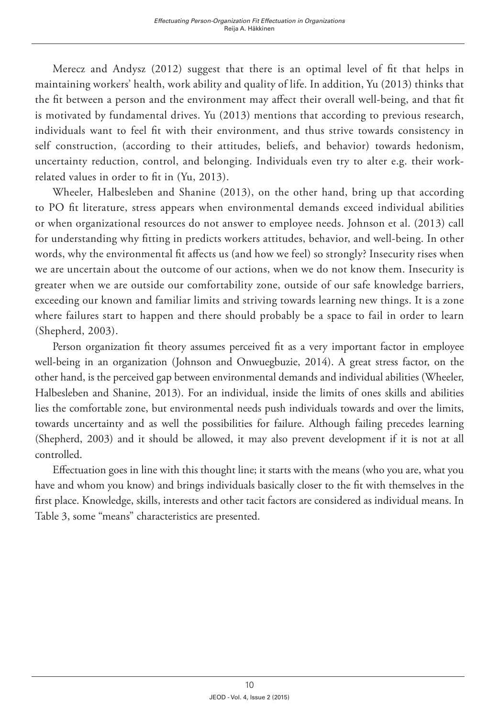Merecz and Andysz (2012) suggest that there is an optimal level of fit that helps in maintaining workers' health, work ability and quality of life. In addition, Yu (2013) thinks that the fit between a person and the environment may affect their overall well-being, and that fit is motivated by fundamental drives. Yu (2013) mentions that according to previous research, individuals want to feel fit with their environment, and thus strive towards consistency in self construction, (according to their attitudes, beliefs, and behavior) towards hedonism, uncertainty reduction, control, and belonging. Individuals even try to alter e.g. their workrelated values in order to fit in (Yu, 2013).

Wheeler, Halbesleben and Shanine (2013), on the other hand, bring up that according to PO fit literature, stress appears when environmental demands exceed individual abilities or when organizational resources do not answer to employee needs. Johnson et al. (2013) call for understanding why fitting in predicts workers attitudes, behavior, and well-being. In other words, why the environmental fit affects us (and how we feel) so strongly? Insecurity rises when we are uncertain about the outcome of our actions, when we do not know them. Insecurity is greater when we are outside our comfortability zone, outside of our safe knowledge barriers, exceeding our known and familiar limits and striving towards learning new things. It is a zone where failures start to happen and there should probably be a space to fail in order to learn (Shepherd, 2003).

Person organization fit theory assumes perceived fit as a very important factor in employee well-being in an organization (Johnson and Onwuegbuzie, 2014). A great stress factor, on the other hand, is the perceived gap between environmental demands and individual abilities (Wheeler, Halbesleben and Shanine, 2013). For an individual, inside the limits of ones skills and abilities lies the comfortable zone, but environmental needs push individuals towards and over the limits, towards uncertainty and as well the possibilities for failure. Although failing precedes learning (Shepherd, 2003) and it should be allowed, it may also prevent development if it is not at all controlled.

Effectuation goes in line with this thought line; it starts with the means (who you are, what you have and whom you know) and brings individuals basically closer to the fit with themselves in the first place. Knowledge, skills, interests and other tacit factors are considered as individual means. In Table 3, some "means" characteristics are presented.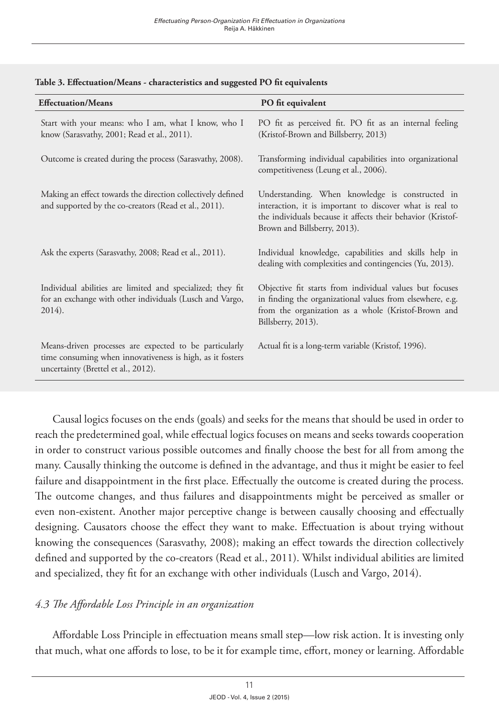| <b>Effectuation/Means</b>                                                                                                                                  | PO fit equivalent                                                                                                                                                                                          |
|------------------------------------------------------------------------------------------------------------------------------------------------------------|------------------------------------------------------------------------------------------------------------------------------------------------------------------------------------------------------------|
| Start with your means: who I am, what I know, who I<br>know (Sarasvathy, 2001; Read et al., 2011).                                                         | PO fit as perceived fit. PO fit as an internal feeling<br>(Kristof-Brown and Billsberry, 2013)                                                                                                             |
| Outcome is created during the process (Sarasvathy, 2008).                                                                                                  | Transforming individual capabilities into organizational<br>competitiveness (Leung et al., 2006).                                                                                                          |
| Making an effect towards the direction collectively defined<br>and supported by the co-creators (Read et al., 2011).                                       | Understanding. When knowledge is constructed in<br>interaction, it is important to discover what is real to<br>the individuals because it affects their behavior (Kristof-<br>Brown and Billsberry, 2013). |
| Ask the experts (Sarasvathy, 2008; Read et al., 2011).                                                                                                     | Individual knowledge, capabilities and skills help in<br>dealing with complexities and contingencies (Yu, 2013).                                                                                           |
| Individual abilities are limited and specialized; they fit<br>for an exchange with other individuals (Lusch and Vargo,<br>$2014$ ).                        | Objective fit starts from individual values but focuses<br>in finding the organizational values from elsewhere, e.g.<br>from the organization as a whole (Kristof-Brown and<br>Billsberry, 2013).          |
| Means-driven processes are expected to be particularly<br>time consuming when innovativeness is high, as it fosters<br>uncertainty (Brettel et al., 2012). | Actual fit is a long-term variable (Kristof, 1996).                                                                                                                                                        |

#### **Table 3. Effectuation/Means - characteristics and suggested PO fit equivalents**

Causal logics focuses on the ends (goals) and seeks for the means that should be used in order to reach the predetermined goal, while effectual logics focuses on means and seeks towards cooperation in order to construct various possible outcomes and finally choose the best for all from among the many. Causally thinking the outcome is defined in the advantage, and thus it might be easier to feel failure and disappointment in the first place. Effectually the outcome is created during the process. The outcome changes, and thus failures and disappointments might be perceived as smaller or even non-existent. Another major perceptive change is between causally choosing and effectually designing. Causators choose the effect they want to make. Effectuation is about trying without knowing the consequences (Sarasvathy, 2008); making an effect towards the direction collectively defined and supported by the co-creators (Read et al., 2011). Whilst individual abilities are limited and specialized, they fit for an exchange with other individuals (Lusch and Vargo, 2014).

### *4.3 The Affordable Loss Principle in an organization*

Affordable Loss Principle in effectuation means small step—low risk action. It is investing only that much, what one affords to lose, to be it for example time, effort, money or learning. Affordable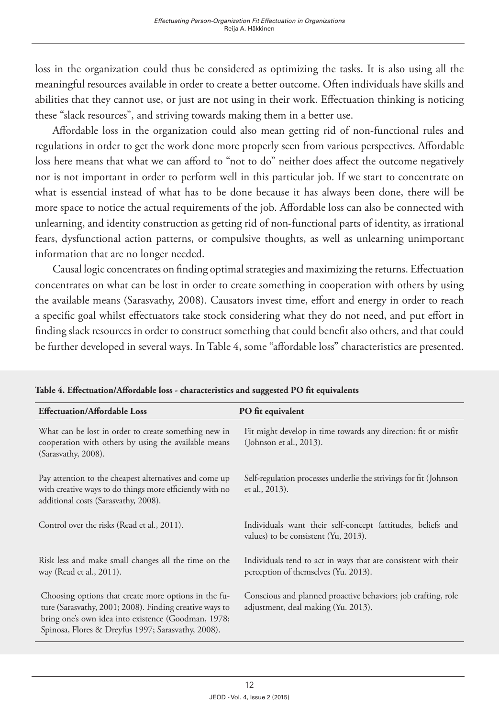loss in the organization could thus be considered as optimizing the tasks. It is also using all the meaningful resources available in order to create a better outcome. Often individuals have skills and abilities that they cannot use, or just are not using in their work. Effectuation thinking is noticing these "slack resources", and striving towards making them in a better use.

Affordable loss in the organization could also mean getting rid of non-functional rules and regulations in order to get the work done more properly seen from various perspectives. Affordable loss here means that what we can afford to "not to do" neither does affect the outcome negatively nor is not important in order to perform well in this particular job. If we start to concentrate on what is essential instead of what has to be done because it has always been done, there will be more space to notice the actual requirements of the job. Affordable loss can also be connected with unlearning, and identity construction as getting rid of non-functional parts of identity, as irrational fears, dysfunctional action patterns, or compulsive thoughts, as well as unlearning unimportant information that are no longer needed.

Causal logic concentrates on finding optimal strategies and maximizing the returns. Effectuation concentrates on what can be lost in order to create something in cooperation with others by using the available means (Sarasvathy, 2008). Causators invest time, effort and energy in order to reach a specific goal whilst effectuators take stock considering what they do not need, and put effort in finding slack resources in order to construct something that could benefit also others, and that could be further developed in several ways. In Table 4, some "affordable loss" characteristics are presented.

| <b>Effectuation/Affordable Loss</b>                                                                                                                                                                                          | PO fit equivalent                                                                                      |
|------------------------------------------------------------------------------------------------------------------------------------------------------------------------------------------------------------------------------|--------------------------------------------------------------------------------------------------------|
| What can be lost in order to create something new in<br>cooperation with others by using the available means<br>(Sarasvathy, 2008).                                                                                          | Fit might develop in time towards any direction: fit or misfit<br>(Johnson et al., 2013).              |
| Pay attention to the cheapest alternatives and come up<br>with creative ways to do things more efficiently with no<br>additional costs (Sarasvathy, 2008).                                                                   | Self-regulation processes underlie the strivings for fit (Johnson<br>et al., 2013).                    |
| Control over the risks (Read et al., 2011).                                                                                                                                                                                  | Individuals want their self-concept (attitudes, beliefs and<br>values) to be consistent (Yu, 2013).    |
| Risk less and make small changes all the time on the<br>way (Read et al., 2011).                                                                                                                                             | Individuals tend to act in ways that are consistent with their<br>perception of themselves (Yu. 2013). |
| Choosing options that create more options in the fu-<br>ture (Sarasvathy, 2001; 2008). Finding creative ways to<br>bring one's own idea into existence (Goodman, 1978;<br>Spinosa, Flores & Dreyfus 1997; Sarasvathy, 2008). | Conscious and planned proactive behaviors; job crafting, role<br>adjustment, deal making (Yu. 2013).   |

**Table 4. Effectuation/Affordable loss - characteristics and suggested PO fit equivalents**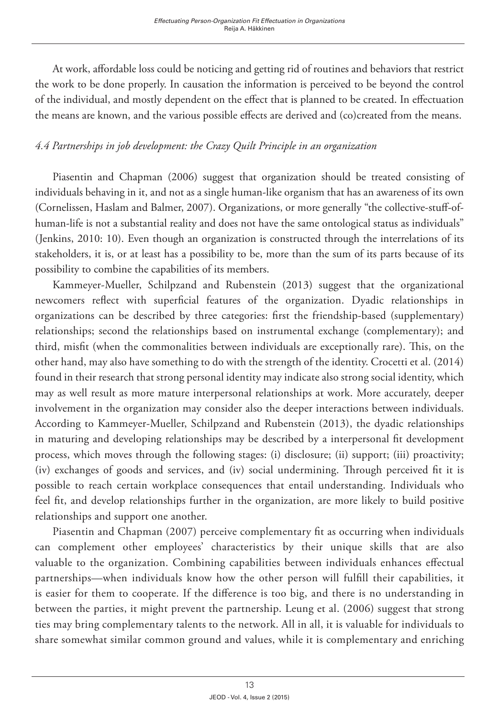At work, affordable loss could be noticing and getting rid of routines and behaviors that restrict the work to be done properly. In causation the information is perceived to be beyond the control of the individual, and mostly dependent on the effect that is planned to be created. In effectuation the means are known, and the various possible effects are derived and (co)created from the means.

## *4.4 Partnerships in job development: the Crazy Quilt Principle in an organization*

Piasentin and Chapman (2006) suggest that organization should be treated consisting of individuals behaving in it, and not as a single human-like organism that has an awareness of its own (Cornelissen, Haslam and Balmer, 2007). Organizations, or more generally "the collective-stuff-ofhuman-life is not a substantial reality and does not have the same ontological status as individuals" (Jenkins, 2010: 10). Even though an organization is constructed through the interrelations of its stakeholders, it is, or at least has a possibility to be, more than the sum of its parts because of its possibility to combine the capabilities of its members.

Kammeyer-Mueller, Schilpzand and Rubenstein (2013) suggest that the organizational newcomers reflect with superficial features of the organization. Dyadic relationships in organizations can be described by three categories: first the friendship-based (supplementary) relationships; second the relationships based on instrumental exchange (complementary); and third, misfit (when the commonalities between individuals are exceptionally rare). This, on the other hand, may also have something to do with the strength of the identity. Crocetti et al. (2014) found in their research that strong personal identity may indicate also strong social identity, which may as well result as more mature interpersonal relationships at work. More accurately, deeper involvement in the organization may consider also the deeper interactions between individuals. According to Kammeyer-Mueller, Schilpzand and Rubenstein (2013), the dyadic relationships in maturing and developing relationships may be described by a interpersonal fit development process, which moves through the following stages: (i) disclosure; (ii) support; (iii) proactivity; (iv) exchanges of goods and services, and (iv) social undermining. Through perceived fit it is possible to reach certain workplace consequences that entail understanding. Individuals who feel fit, and develop relationships further in the organization, are more likely to build positive relationships and support one another.

Piasentin and Chapman (2007) perceive complementary fit as occurring when individuals can complement other employees' characteristics by their unique skills that are also valuable to the organization. Combining capabilities between individuals enhances effectual partnerships—when individuals know how the other person will fulfill their capabilities, it is easier for them to cooperate. If the difference is too big, and there is no understanding in between the parties, it might prevent the partnership. Leung et al. (2006) suggest that strong ties may bring complementary talents to the network. All in all, it is valuable for individuals to share somewhat similar common ground and values, while it is complementary and enriching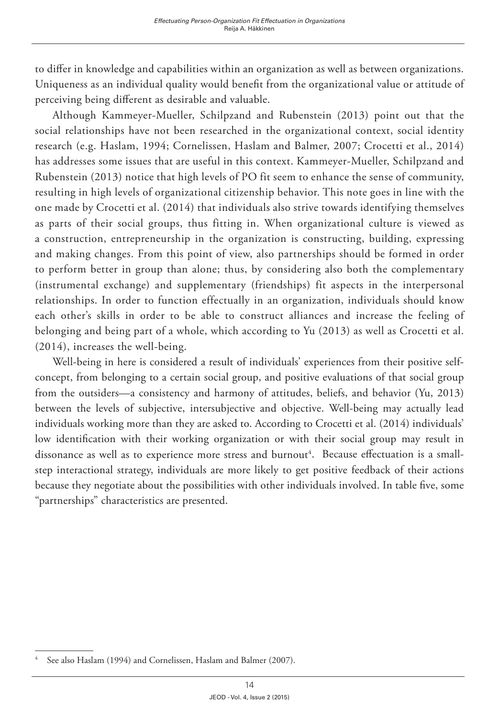to differ in knowledge and capabilities within an organization as well as between organizations. Uniqueness as an individual quality would benefit from the organizational value or attitude of perceiving being different as desirable and valuable.

Although Kammeyer-Mueller, Schilpzand and Rubenstein (2013) point out that the social relationships have not been researched in the organizational context, social identity research (e.g. Haslam, 1994; Cornelissen, Haslam and Balmer, 2007; Crocetti et al., 2014) has addresses some issues that are useful in this context. Kammeyer-Mueller, Schilpzand and Rubenstein (2013) notice that high levels of PO fit seem to enhance the sense of community, resulting in high levels of organizational citizenship behavior. This note goes in line with the one made by Crocetti et al. (2014) that individuals also strive towards identifying themselves as parts of their social groups, thus fitting in. When organizational culture is viewed as a construction, entrepreneurship in the organization is constructing, building, expressing and making changes. From this point of view, also partnerships should be formed in order to perform better in group than alone; thus, by considering also both the complementary (instrumental exchange) and supplementary (friendships) fit aspects in the interpersonal relationships. In order to function effectually in an organization, individuals should know each other's skills in order to be able to construct alliances and increase the feeling of belonging and being part of a whole, which according to Yu (2013) as well as Crocetti et al. (2014), increases the well-being.

Well-being in here is considered a result of individuals' experiences from their positive selfconcept, from belonging to a certain social group, and positive evaluations of that social group from the outsiders—a consistency and harmony of attitudes, beliefs, and behavior (Yu, 2013) between the levels of subjective, intersubjective and objective. Well-being may actually lead individuals working more than they are asked to. According to Crocetti et al. (2014) individuals' low identification with their working organization or with their social group may result in dissonance as well as to experience more stress and burnout<sup>4</sup>. Because effectuation is a smallstep interactional strategy, individuals are more likely to get positive feedback of their actions because they negotiate about the possibilities with other individuals involved. In table five, some "partnerships" characteristics are presented.

<sup>4</sup> See also Haslam (1994) and Cornelissen, Haslam and Balmer (2007).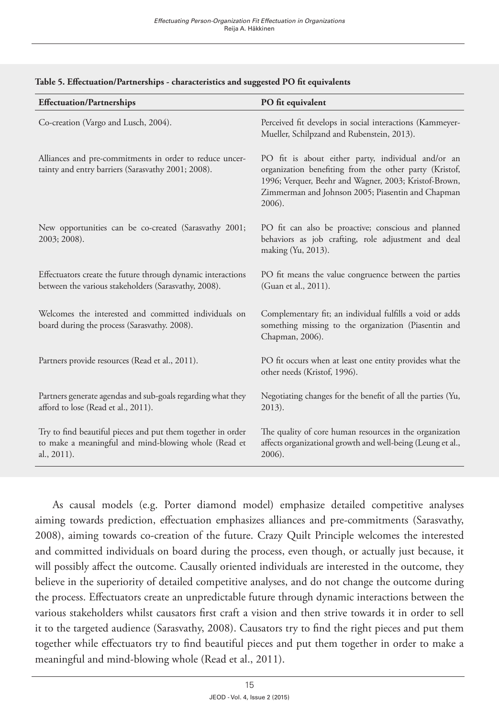| <b>Effectuation/Partnerships</b>                                                                                                   | PO fit equivalent                                                                                                                                                                                                                    |
|------------------------------------------------------------------------------------------------------------------------------------|--------------------------------------------------------------------------------------------------------------------------------------------------------------------------------------------------------------------------------------|
| Co-creation (Vargo and Lusch, 2004).                                                                                               | Perceived fit develops in social interactions (Kammeyer-<br>Mueller, Schilpzand and Rubenstein, 2013).                                                                                                                               |
| Alliances and pre-commitments in order to reduce uncer-<br>tainty and entry barriers (Sarasvathy 2001; 2008).                      | PO fit is about either party, individual and/or an<br>organization benefiting from the other party (Kristof,<br>1996; Verquer, Beehr and Wagner, 2003; Kristof-Brown,<br>Zimmerman and Johnson 2005; Piasentin and Chapman<br>2006). |
| New opportunities can be co-created (Sarasvathy 2001;<br>2003; 2008).                                                              | PO fit can also be proactive; conscious and planned<br>behaviors as job crafting, role adjustment and deal<br>making (Yu, 2013).                                                                                                     |
| Effectuators create the future through dynamic interactions<br>between the various stakeholders (Sarasvathy, 2008).                | PO fit means the value congruence between the parties<br>(Guan et al., 2011).                                                                                                                                                        |
| Welcomes the interested and committed individuals on<br>board during the process (Sarasvathy. 2008).                               | Complementary fit; an individual fulfills a void or adds<br>something missing to the organization (Piasentin and<br>Chapman, 2006).                                                                                                  |
| Partners provide resources (Read et al., 2011).                                                                                    | PO fit occurs when at least one entity provides what the<br>other needs (Kristof, 1996).                                                                                                                                             |
| Partners generate agendas and sub-goals regarding what they<br>afford to lose (Read et al., 2011).                                 | Negotiating changes for the benefit of all the parties (Yu,<br>2013).                                                                                                                                                                |
| Try to find beautiful pieces and put them together in order<br>to make a meaningful and mind-blowing whole (Read et<br>al., 2011). | The quality of core human resources in the organization<br>affects organizational growth and well-being (Leung et al.,<br>2006).                                                                                                     |

#### **Table 5. Effectuation/Partnerships - characteristics and suggested PO fit equivalents**

As causal models (e.g. Porter diamond model) emphasize detailed competitive analyses aiming towards prediction, effectuation emphasizes alliances and pre-commitments (Sarasvathy, 2008), aiming towards co-creation of the future. Crazy Quilt Principle welcomes the interested and committed individuals on board during the process, even though, or actually just because, it will possibly affect the outcome. Causally oriented individuals are interested in the outcome, they believe in the superiority of detailed competitive analyses, and do not change the outcome during the process. Effectuators create an unpredictable future through dynamic interactions between the various stakeholders whilst causators first craft a vision and then strive towards it in order to sell it to the targeted audience (Sarasvathy, 2008). Causators try to find the right pieces and put them together while effectuators try to find beautiful pieces and put them together in order to make a meaningful and mind-blowing whole (Read et al., 2011).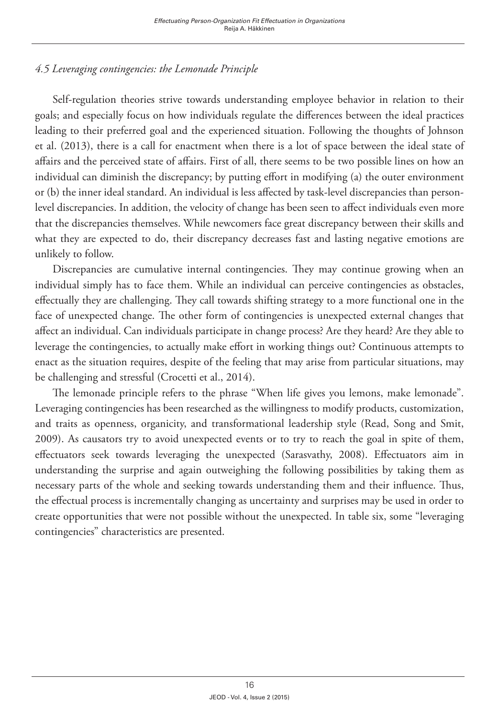# *4.5 Leveraging contingencies: the Lemonade Principle*

Self-regulation theories strive towards understanding employee behavior in relation to their goals; and especially focus on how individuals regulate the differences between the ideal practices leading to their preferred goal and the experienced situation. Following the thoughts of Johnson et al. (2013), there is a call for enactment when there is a lot of space between the ideal state of affairs and the perceived state of affairs. First of all, there seems to be two possible lines on how an individual can diminish the discrepancy; by putting effort in modifying (a) the outer environment or (b) the inner ideal standard. An individual is less affected by task-level discrepancies than personlevel discrepancies. In addition, the velocity of change has been seen to affect individuals even more that the discrepancies themselves. While newcomers face great discrepancy between their skills and what they are expected to do, their discrepancy decreases fast and lasting negative emotions are unlikely to follow.

Discrepancies are cumulative internal contingencies. They may continue growing when an individual simply has to face them. While an individual can perceive contingencies as obstacles, effectually they are challenging. They call towards shifting strategy to a more functional one in the face of unexpected change. The other form of contingencies is unexpected external changes that affect an individual. Can individuals participate in change process? Are they heard? Are they able to leverage the contingencies, to actually make effort in working things out? Continuous attempts to enact as the situation requires, despite of the feeling that may arise from particular situations, may be challenging and stressful (Crocetti et al., 2014).

The lemonade principle refers to the phrase "When life gives you lemons, make lemonade". Leveraging contingencies has been researched as the willingness to modify products, customization, and traits as openness, organicity, and transformational leadership style (Read, Song and Smit, 2009). As causators try to avoid unexpected events or to try to reach the goal in spite of them, effectuators seek towards leveraging the unexpected (Sarasvathy, 2008). Effectuators aim in understanding the surprise and again outweighing the following possibilities by taking them as necessary parts of the whole and seeking towards understanding them and their influence. Thus, the effectual process is incrementally changing as uncertainty and surprises may be used in order to create opportunities that were not possible without the unexpected. In table six, some "leveraging contingencies" characteristics are presented.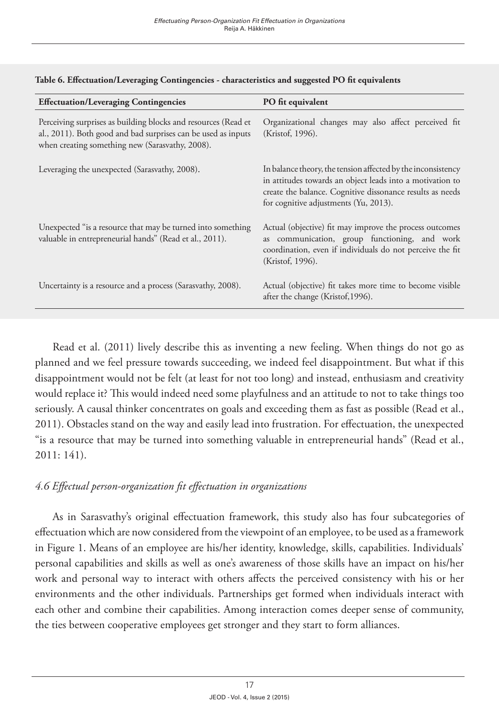| <b>Effectuation/Leveraging Contingencies</b>                                                                                                                                       | PO fit equivalent                                                                                                                                                                                                               |
|------------------------------------------------------------------------------------------------------------------------------------------------------------------------------------|---------------------------------------------------------------------------------------------------------------------------------------------------------------------------------------------------------------------------------|
| Perceiving surprises as building blocks and resources (Read et<br>al., 2011). Both good and bad surprises can be used as inputs<br>when creating something new (Sarasvathy, 2008). | Organizational changes may also affect perceived fit<br>(Kristof, 1996).                                                                                                                                                        |
| Leveraging the unexpected (Sarasvathy, 2008).                                                                                                                                      | In balance theory, the tension affected by the inconsistency<br>in attitudes towards an object leads into a motivation to<br>create the balance. Cognitive dissonance results as needs<br>for cognitive adjustments (Yu, 2013). |
| Unexpected "is a resource that may be turned into something<br>valuable in entrepreneurial hands" (Read et al., 2011).                                                             | Actual (objective) fit may improve the process outcomes<br>as communication, group functioning, and work<br>coordination, even if individuals do not perceive the fit<br>(Kristof, 1996).                                       |
| Uncertainty is a resource and a process (Sarasvathy, 2008).                                                                                                                        | Actual (objective) fit takes more time to become visible<br>after the change (Kristof, 1996).                                                                                                                                   |

#### **Table 6. Effectuation/Leveraging Contingencies - characteristics and suggested PO fit equivalents**

Read et al. (2011) lively describe this as inventing a new feeling. When things do not go as planned and we feel pressure towards succeeding, we indeed feel disappointment. But what if this disappointment would not be felt (at least for not too long) and instead, enthusiasm and creativity would replace it? This would indeed need some playfulness and an attitude to not to take things too seriously. A causal thinker concentrates on goals and exceeding them as fast as possible (Read et al., 2011). Obstacles stand on the way and easily lead into frustration. For effectuation, the unexpected "is a resource that may be turned into something valuable in entrepreneurial hands" (Read et al., 2011: 141).

### *4.6 Effectual person-organization fit effectuation in organizations*

As in Sarasvathy's original effectuation framework, this study also has four subcategories of effectuation which are now considered from the viewpoint of an employee, to be used as a framework in Figure 1. Means of an employee are his/her identity, knowledge, skills, capabilities. Individuals' personal capabilities and skills as well as one's awareness of those skills have an impact on his/her work and personal way to interact with others affects the perceived consistency with his or her environments and the other individuals. Partnerships get formed when individuals interact with each other and combine their capabilities. Among interaction comes deeper sense of community, the ties between cooperative employees get stronger and they start to form alliances.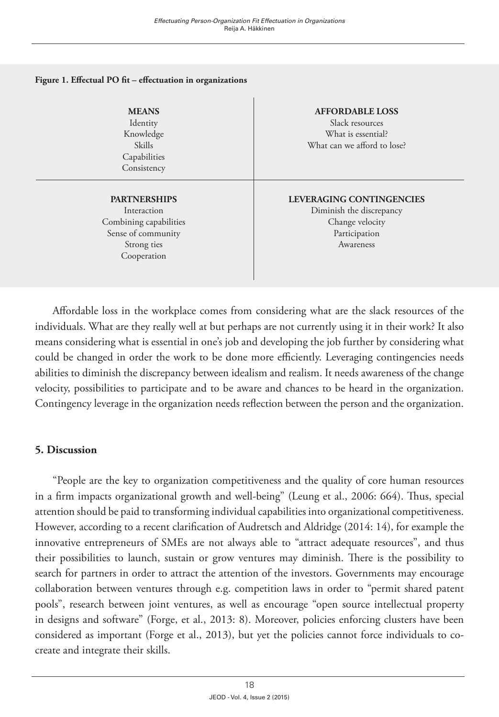#### **Figure 1. Effectual PO fit – effectuation in organizations**

**MEANS**  Identity Knowledge Skills Capabilities Consistency

**PARTNERSHIPS** Interaction Combining capabilities Sense of community Strong ties Cooperation

**AFFORDABLE LOSS** Slack resources What is essential? What can we afford to lose?

#### **LEVERAGING CONTINGENCIES** Diminish the discrepancy Change velocity Participation Awareness

Affordable loss in the workplace comes from considering what are the slack resources of the individuals. What are they really well at but perhaps are not currently using it in their work? It also means considering what is essential in one's job and developing the job further by considering what could be changed in order the work to be done more efficiently. Leveraging contingencies needs abilities to diminish the discrepancy between idealism and realism. It needs awareness of the change velocity, possibilities to participate and to be aware and chances to be heard in the organization. Contingency leverage in the organization needs reflection between the person and the organization.

### **5. Discussion**

"People are the key to organization competitiveness and the quality of core human resources in a firm impacts organizational growth and well-being" (Leung et al., 2006: 664). Thus, special attention should be paid to transforming individual capabilities into organizational competitiveness. However, according to a recent clarification of Audretsch and Aldridge (2014: 14), for example the innovative entrepreneurs of SMEs are not always able to "attract adequate resources", and thus their possibilities to launch, sustain or grow ventures may diminish. There is the possibility to search for partners in order to attract the attention of the investors. Governments may encourage collaboration between ventures through e.g. competition laws in order to "permit shared patent pools", research between joint ventures, as well as encourage "open source intellectual property in designs and software" (Forge, et al., 2013: 8). Moreover, policies enforcing clusters have been considered as important (Forge et al., 2013), but yet the policies cannot force individuals to cocreate and integrate their skills.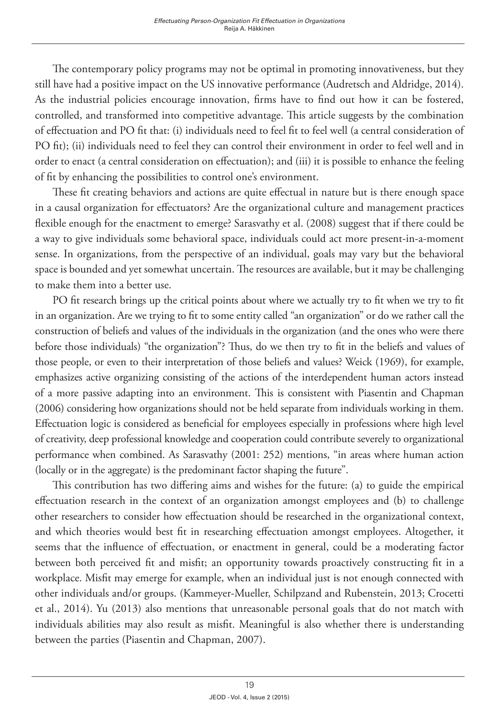The contemporary policy programs may not be optimal in promoting innovativeness, but they still have had a positive impact on the US innovative performance (Audretsch and Aldridge, 2014). As the industrial policies encourage innovation, firms have to find out how it can be fostered, controlled, and transformed into competitive advantage. This article suggests by the combination of effectuation and PO fit that: (i) individuals need to feel fit to feel well (a central consideration of PO fit); (ii) individuals need to feel they can control their environment in order to feel well and in order to enact (a central consideration on effectuation); and (iii) it is possible to enhance the feeling of fit by enhancing the possibilities to control one's environment.

These fit creating behaviors and actions are quite effectual in nature but is there enough space in a causal organization for effectuators? Are the organizational culture and management practices flexible enough for the enactment to emerge? Sarasvathy et al. (2008) suggest that if there could be a way to give individuals some behavioral space, individuals could act more present-in-a-moment sense. In organizations, from the perspective of an individual, goals may vary but the behavioral space is bounded and yet somewhat uncertain. The resources are available, but it may be challenging to make them into a better use.

PO fit research brings up the critical points about where we actually try to fit when we try to fit in an organization. Are we trying to fit to some entity called "an organization" or do we rather call the construction of beliefs and values of the individuals in the organization (and the ones who were there before those individuals) "the organization"? Thus, do we then try to fit in the beliefs and values of those people, or even to their interpretation of those beliefs and values? Weick (1969), for example, emphasizes active organizing consisting of the actions of the interdependent human actors instead of a more passive adapting into an environment. This is consistent with Piasentin and Chapman (2006) considering how organizations should not be held separate from individuals working in them. Effectuation logic is considered as beneficial for employees especially in professions where high level of creativity, deep professional knowledge and cooperation could contribute severely to organizational performance when combined. As Sarasvathy (2001: 252) mentions, "in areas where human action (locally or in the aggregate) is the predominant factor shaping the future".

This contribution has two differing aims and wishes for the future: (a) to guide the empirical effectuation research in the context of an organization amongst employees and (b) to challenge other researchers to consider how effectuation should be researched in the organizational context, and which theories would best fit in researching effectuation amongst employees. Altogether, it seems that the influence of effectuation, or enactment in general, could be a moderating factor between both perceived fit and misfit; an opportunity towards proactively constructing fit in a workplace. Misfit may emerge for example, when an individual just is not enough connected with other individuals and/or groups. (Kammeyer-Mueller, Schilpzand and Rubenstein, 2013; Crocetti et al., 2014). Yu (2013) also mentions that unreasonable personal goals that do not match with individuals abilities may also result as misfit. Meaningful is also whether there is understanding between the parties (Piasentin and Chapman, 2007).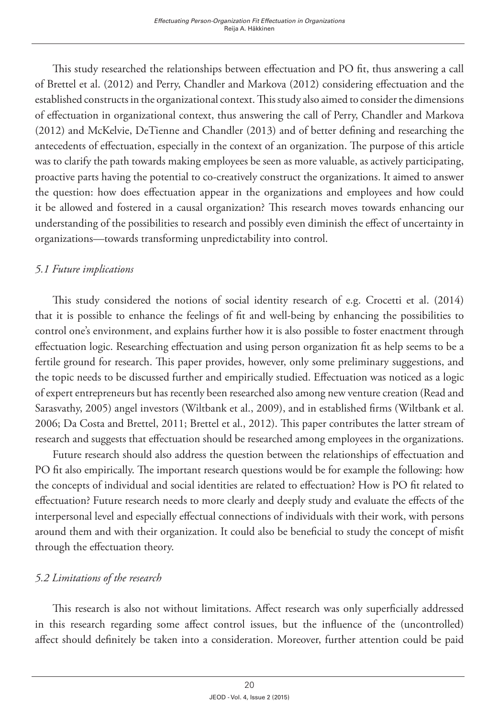This study researched the relationships between effectuation and PO fit, thus answering a call of Brettel et al. (2012) and Perry, Chandler and Markova (2012) considering effectuation and the established constructs in the organizational context. This study also aimed to consider the dimensions of effectuation in organizational context, thus answering the call of Perry, Chandler and Markova (2012) and McKelvie, DeTienne and Chandler (2013) and of better defining and researching the antecedents of effectuation, especially in the context of an organization. The purpose of this article was to clarify the path towards making employees be seen as more valuable, as actively participating, proactive parts having the potential to co-creatively construct the organizations. It aimed to answer the question: how does effectuation appear in the organizations and employees and how could it be allowed and fostered in a causal organization? This research moves towards enhancing our understanding of the possibilities to research and possibly even diminish the effect of uncertainty in organizations—towards transforming unpredictability into control.

## *5.1 Future implications*

This study considered the notions of social identity research of e.g. Crocetti et al. (2014) that it is possible to enhance the feelings of fit and well-being by enhancing the possibilities to control one's environment, and explains further how it is also possible to foster enactment through effectuation logic. Researching effectuation and using person organization fit as help seems to be a fertile ground for research. This paper provides, however, only some preliminary suggestions, and the topic needs to be discussed further and empirically studied. Effectuation was noticed as a logic of expert entrepreneurs but has recently been researched also among new venture creation (Read and Sarasvathy, 2005) angel investors (Wiltbank et al., 2009), and in established firms (Wiltbank et al. 2006; Da Costa and Brettel, 2011; Brettel et al., 2012). This paper contributes the latter stream of research and suggests that effectuation should be researched among employees in the organizations.

Future research should also address the question between the relationships of effectuation and PO fit also empirically. The important research questions would be for example the following: how the concepts of individual and social identities are related to effectuation? How is PO fit related to effectuation? Future research needs to more clearly and deeply study and evaluate the effects of the interpersonal level and especially effectual connections of individuals with their work, with persons around them and with their organization. It could also be beneficial to study the concept of misfit through the effectuation theory.

## *5.2 Limitations of the research*

This research is also not without limitations. Affect research was only superficially addressed in this research regarding some affect control issues, but the influence of the (uncontrolled) affect should definitely be taken into a consideration. Moreover, further attention could be paid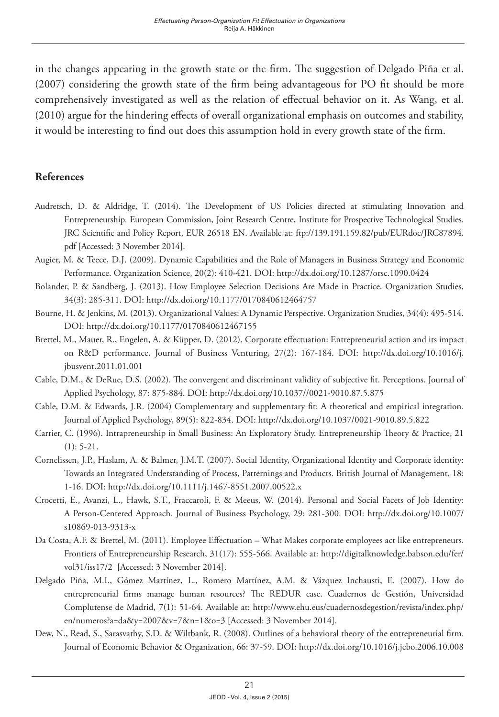in the changes appearing in the growth state or the firm. The suggestion of Delgado Piña et al. (2007) considering the growth state of the firm being advantageous for PO fit should be more comprehensively investigated as well as the relation of effectual behavior on it. As Wang, et al. (2010) argue for the hindering effects of overall organizational emphasis on outcomes and stability, it would be interesting to find out does this assumption hold in every growth state of the firm.

### **References**

- Audretsch, D. & Aldridge, T. (2014). The Development of US Policies directed at stimulating Innovation and Entrepreneurship. European Commission, Joint Research Centre, Institute for Prospective Technological Studies. JRC Scientific and Policy Report, EUR 26518 EN. Available at: [ftp://139.191.159.82/pub/EURdoc/JRC87894.](ftp://139.191.159.82/pub/EURdoc/JRC87894.pdf) [pdf](ftp://139.191.159.82/pub/EURdoc/JRC87894.pdf) [Accessed: 3 November 2014].
- Augier, M. & Teece, D.J. (2009). Dynamic Capabilities and the Role of Managers in Business Strategy and Economic Performance. Organization Science, 20(2): 410-421. DOI: <http://dx.doi.org/10.1287/orsc.1090.0424>
- Bolander, P. & Sandberg, J. (2013). How Employee Selection Decisions Are Made in Practice. Organization Studies, 34(3): 285-311. DOI:<http://dx.doi.org/10.1177/0170840612464757>
- Bourne, H. & Jenkins, M. (2013). Organizational Values: A Dynamic Perspective. Organization Studies, 34(4): 495-514. DOI:<http://dx.doi.org/10.1177/0170840612467155>
- Brettel, M., Mauer, R., Engelen, A. & Küpper, D. (2012). Corporate effectuation: Entrepreneurial action and its impact on R&D performance. Journal of Business Venturing, 27(2): 167-184. DOI: [http://dx.doi.org/10.1016/j.](http://dx.doi.org/10.1016/j.jbusvent.2011.01.001) [jbusvent.2011.01.001](http://dx.doi.org/10.1016/j.jbusvent.2011.01.001)
- Cable, D.M., & DeRue, D.S. (2002). The convergent and discriminant validity of subjective fit. Perceptions. Journal of Applied Psychology, 87: 875-884. DOI: <http://dx.doi.org/10.1037//0021-9010.87.5.875>
- Cable, D.M. & Edwards, J.R. (2004) Complementary and supplementary fit: A theoretical and empirical integration. Journal of Applied Psychology, 89(5): 822-834. DOI: http://dx.doi.org[/10.1037/0021-9010.89.5.822](http://dx.doi.org/10.1037/0021-9010.89.5.822)
- Carrier, C. (1996). Intrapreneurship in Small Business: An Exploratory Study. Entrepreneurship Theory & Practice, 21  $(1): 5-21.$
- Cornelissen, J.P., Haslam, A. & Balmer, J.M.T. (2007). Social Identity, Organizational Identity and Corporate identity: Towards an Integrated Understanding of Process, Patternings and Products. British Journal of Management, 18: 1-16. DOI: <http://dx.doi.org/10.1111/j.1467-8551.2007.00522.x>
- Crocetti, E., Avanzi, L., Hawk, S.T., Fraccaroli, F. & Meeus, W. (2014). Personal and Social Facets of Job Identity: A Person-Centered Approach. Journal of Business Psychology, 29: 281-300. DOI: [http://dx.doi.org/10.1007/](http://dx.doi.org/10.1007/s10869-013-9313-x) [s10869-013-9313-x](http://dx.doi.org/10.1007/s10869-013-9313-x)
- Da Costa, A.F. & Brettel, M. (2011). Employee Effectuation What Makes corporate employees act like entrepreneurs. Frontiers of Entrepreneurship Research, 31(17): 555-566. Available at: [http://digitalknowledge.babson.edu/fer/](http://digitalknowledge.babson.edu/fer/vol31/iss17/2) [vol31/iss17/2](http://digitalknowledge.babson.edu/fer/vol31/iss17/2) [Accessed: 3 November 2014].
- Delgado Piña, M.I., Gómez Martínez, L., Romero Martínez, A.M. & Vázquez Inchausti, E. (2007). How do entrepreneurial firms manage human resources? The REDUR case. Cuadernos de Gestión, Universidad Complutense de Madrid, 7(1): 51-64. Available at: [http://www.ehu.eus/cuadernosdegestion/revista/index.php/](http://www.ehu.eus/cuadernosdegestion/revista/index.php/en/numeros?a=da&y=2007&v=7&n=1&o=3) [en/numeros?a=da&y=2007&v=7&n=1&o=3](http://www.ehu.eus/cuadernosdegestion/revista/index.php/en/numeros?a=da&y=2007&v=7&n=1&o=3) [Accessed: 3 November 2014].
- Dew, N., Read, S., Sarasvathy, S.D. & Wiltbank, R. (2008). Outlines of a behavioral theory of the entrepreneurial firm. Journal of Economic Behavior & Organization, 66: 37-59. DOI:<http://dx.doi.org/10.1016/j.jebo.2006.10.008>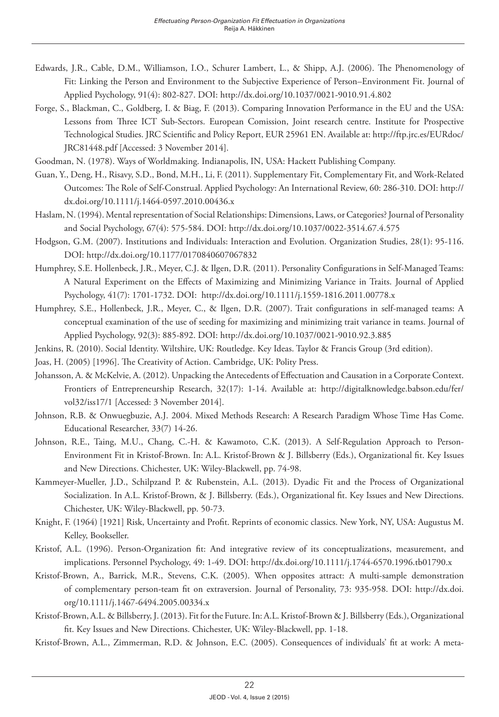- Edwards, J.R., Cable, D.M., Williamson, I.O., Schurer Lambert, L., & Shipp, A.J. (2006). The Phenomenology of Fit: Linking the Person and Environment to the Subjective Experience of Person–Environment Fit. Journal of Applied Psychology, 91(4): 802-827. DOI:<http://dx.doi.org/10.1037/0021-9010.91.4.802>
- Forge, S., Blackman, C., Goldberg, I. & Biag, F. (2013). Comparing Innovation Performance in the EU and the USA: Lessons from Three ICT Sub-Sectors. European Comission, Joint research centre. Institute for Prospective Technological Studies. JRC Scientific and Policy Report, EUR 25961 EN. Available at: [http://ftp.jrc.es/EURdoc/](http://ftp.jrc.es/EURdoc/JRC81448.pdf) [JRC81448.pdf](http://ftp.jrc.es/EURdoc/JRC81448.pdf) [Accessed: 3 November 2014].
- Goodman, N. (1978). Ways of Worldmaking. Indianapolis, IN, USA: Hackett Publishing Company.
- Guan, Y., Deng, H., Risavy, S.D., Bond, M.H., Li, F. (2011). Supplementary Fit, Complementary Fit, and Work-Related Outcomes: The Role of Self-Construal. Applied Psychology: An International Review, 60: 286-310. DOI: [http://](http://dx.doi.org/10.1111/j.1464-0597.2010.00436.x) [dx.doi.org/10.1111/j.1464-0597.2010.00436.x](http://dx.doi.org/10.1111/j.1464-0597.2010.00436.x)
- Haslam, N. (1994). Mental representation of Social Relationships: Dimensions, Laws, or Categories? Journal of Personality and Social Psychology, 67(4): 575-584. DOI:<http://dx.doi.org/10.1037/0022-3514.67.4.575>
- Hodgson, G.M. (2007). Institutions and Individuals: Interaction and Evolution. Organization Studies, 28(1): 95-116. DOI:<http://dx.doi.org/10.1177/0170840607067832>
- Humphrey, S.E. Hollenbeck, J.R., Meyer, C.J. & Ilgen, D.R. (2011). Personality Configurations in Self-Managed Teams: A Natural Experiment on the Effects of Maximizing and Minimizing Variance in Traits. Journal of Applied Psychology, 41(7): 1701-1732. DOI: <http://dx.doi.org/10.1111/j.1559-1816.2011.00778.x>
- Humphrey, S.E., Hollenbeck, J.R., Meyer, C., & Ilgen, D.R. (2007). Trait configurations in self-managed teams: A conceptual examination of the use of seeding for maximizing and minimizing trait variance in teams. Journal of Applied Psychology, 92(3): 885-892. DOI: http://dx.doi.org[/10.1037/0021-9010.92.3.885](http://psycnet.apa.org/doi/10.1037/0021-9010.92.3.885)
- Jenkins, R. (2010). Social Identity. Wiltshire, UK: Routledge. Key Ideas. Taylor & Francis Group (3rd edition).
- Joas, H. (2005) [1996]. The Creativity of Action. Cambridge, UK: Polity Press.
- Johansson, A. & McKelvie, A. (2012). Unpacking the Antecedents of Effectuation and Causation in a Corporate Context. Frontiers of Entrepreneurship Research, 32(17): 1-14. Available at: [http://digitalknowledge.babson.edu/fer/](http://digitalknowledge.babson.edu/fer/vol32/iss17/1) [vol32/iss17/1](http://digitalknowledge.babson.edu/fer/vol32/iss17/1) [Accessed: 3 November 2014].
- Johnson, R.B. & Onwuegbuzie, A.J. 2004. Mixed Methods Research: A Research Paradigm Whose Time Has Come. Educational Researcher, 33(7) 14-26.
- Johnson, R.E., Taing, M.U., Chang, C.-H. & Kawamoto, C.K. (2013). A Self-Regulation Approach to Person-Environment Fit in Kristof-Brown. In: A.L. Kristof-Brown & J. Billsberry (Eds.), Organizational fit. Key Issues and New Directions. Chichester, UK: Wiley-Blackwell, pp. 74-98.
- Kammeyer-Mueller, J.D., Schilpzand P. & Rubenstein, A.L. (2013). Dyadic Fit and the Process of Organizational Socialization. In A.L. Kristof-Brown, & J. Billsberry. (Eds.), Organizational fit. Key Issues and New Directions. Chichester, UK: Wiley-Blackwell, pp. 50-73.
- Knight, F. (1964) [1921] Risk, Uncertainty and Profit. Reprints of economic classics. New York, NY, USA: Augustus M. Kelley, Bookseller.
- Kristof, A.L. (1996). Person-Organization fit: And integrative review of its conceptualizations, measurement, and implications. Personnel Psychology, 49: 1-49. DOI: <http://dx.doi.org/10.1111/j.1744-6570.1996.tb01790.x>
- Kristof-Brown, A., Barrick, M.R., Stevens, C.K. (2005). When opposites attract: A multi-sample demonstration of complementary person-team fit on extraversion. Journal of Personality, 73: 935-958. DOI: [http://dx.doi.](http://dx.doi.org/10.1111/j.1467-6494.2005.00334.x) [org/10.1111/j.1467-6494.2005.00334.x](http://dx.doi.org/10.1111/j.1467-6494.2005.00334.x)
- Kristof-Brown, A.L. & Billsberry, J. (2013). Fit for the Future. In: A.L. Kristof-Brown & J. Billsberry (Eds.), Organizational fit. Key Issues and New Directions. Chichester, UK: Wiley-Blackwell, pp. 1-18.
- Kristof-Brown, A.L., Zimmerman, R.D. & Johnson, E.C. (2005). Consequences of individuals' fit at work: A meta-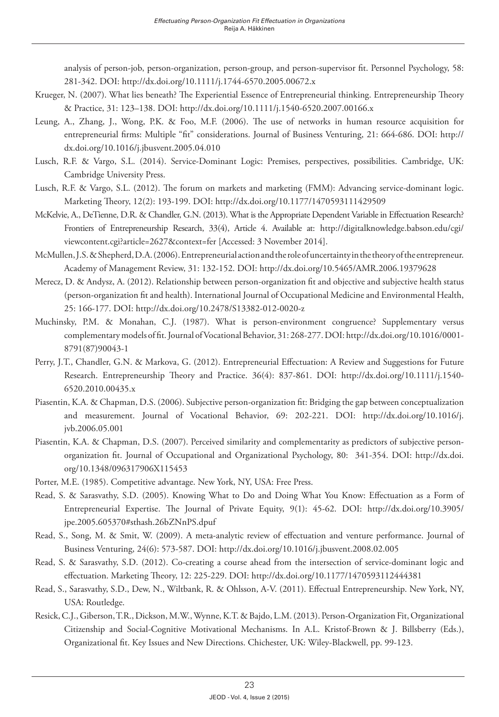analysis of person-job, person-organization, person-group, and person-supervisor fit. Personnel Psychology, 58: 281-342. DOI:<http://dx.doi.org/10.1111/j.1744-6570.2005.00672.x>

- Krueger, N. (2007). What lies beneath? The Experiential Essence of Entrepreneurial thinking. Entrepreneurship Theory & Practice, 31: 123–138. DOI: <http://dx.doi.org/10.1111/j.1540-6520.2007.00166.x>
- Leung, A., Zhang, J., Wong, P.K. & Foo, M.F. (2006). The use of networks in human resource acquisition for entrepreneurial firms: Multiple "fit" considerations. Journal of Business Venturing, 21: 664-686. DOI: [http://](http://dx.doi.org/10.1016/j.jbusvent.2005.04.010) [dx.doi.org/10.1016/j.jbusvent.2005.04.010](http://dx.doi.org/10.1016/j.jbusvent.2005.04.010)
- Lusch, R.F. & Vargo, S.L. (2014). Service-Dominant Logic: Premises, perspectives, possibilities. Cambridge, UK: Cambridge University Press.
- Lusch, R.F. & Vargo, S.L. (2012). The forum on markets and marketing (FMM): Advancing service-dominant logic. Marketing Theory, 12(2): 193-199. DOI:<http://dx.doi.org/10.1177/1470593111429509>
- McKelvie, A., DeTienne, D.R. & Chandler, G.N. (2013). What is the Appropriate Dependent Variable in Effectuation Research? Frontiers of Entrepreneurship Research, 33(4), Article 4. Available at: [http://digitalknowledge.babson.edu/cgi/](http://digitalknowledge.babson.edu/cgi/viewcontent.cgi?article=2627&context=fer) [viewcontent.cgi?article=2627&context=fer](http://digitalknowledge.babson.edu/cgi/viewcontent.cgi?article=2627&context=fer) [Accessed: 3 November 2014].
- McMullen, J.S. & Shepherd, D.A. (2006). Entrepreneurial action and the role of uncertainty in the theory of the entrepreneur. Academy of Management Review, 31: 132-152. DOI:<http://dx.doi.org/10.5465/AMR.2006.19379628>
- Merecz, D. & Andysz, A. (2012). Relationship between person-organization fit and objective and subjective health status (person-organization fit and health). International Journal of Occupational Medicine and Environmental Health, 25: 166-177. DOI: <http://dx.doi.org/10.2478/S13382-012-0020-z>
- Muchinsky, P.M. & Monahan, C.J. (1987). What is person-environment congruence? Supplementary versus complementary models of fit. Journal of Vocational Behavior, 31: 268-277. DOI: [http://dx.doi.org/10.1016/0001-](http://dx.doi.org/10.1016/0001-8791(87)90043-1) [8791\(87\)90043-1](http://dx.doi.org/10.1016/0001-8791(87)90043-1)
- Perry, J.T., Chandler, G.N. & Markova, G. (2012). Entrepreneurial Effectuation: A Review and Suggestions for Future Research. Entrepreneurship Theory and Practice. 36(4): 837-861. DOI: [http://dx.doi.org/10.1111/j.1540-](http://dx.doi.org/10.1111/j.1540-6520.2010.00435.x) [6520.2010.00435.x](http://dx.doi.org/10.1111/j.1540-6520.2010.00435.x)
- Piasentin, K.A. & Chapman, D.S. (2006). Subjective person-organization fit: Bridging the gap between conceptualization and measurement. Journal of Vocational Behavior, 69: 202-221. DOI: [http://dx.doi.org/10.1016/j.](http://dx.doi.org/10.1016/j.jvb.2006.05.001) [jvb.2006.05.001](http://dx.doi.org/10.1016/j.jvb.2006.05.001)
- Piasentin, K.A. & Chapman, D.S. (2007). Perceived similarity and complementarity as predictors of subjective personorganization fit. Journal of Occupational and Organizational Psychology, 80: 341-354. DOI: [http://dx.doi.](http://dx.doi.org/10.1348/096317906X115453) [org/10.1348/096317906X115453](http://dx.doi.org/10.1348/096317906X115453)
- Porter, M.E. (1985). Competitive advantage. New York, NY, USA: Free Press.
- Read, S. & Sarasvathy, S.D. (2005). Knowing What to Do and Doing What You Know: Effectuation as a Form of Entrepreneurial Expertise. The Journal of Private Equity, 9(1): 45-62. DOI: [http://dx.doi.org/10.3905/](http://dx.doi.org/10.3905/jpe.2005.605370#sthash.26bZNnPS.dpuf) [jpe.2005.605370#sthash.26bZNnPS.dpuf](http://dx.doi.org/10.3905/jpe.2005.605370#sthash.26bZNnPS.dpuf)
- Read, S., Song, M. & Smit, W. (2009). A meta-analytic review of effectuation and venture performance. Journal of Business Venturing, 24(6): 573-587. DOI: <http://dx.doi.org/10.1016/j.jbusvent.2008.02.005>
- Read, S. & Sarasvathy, S.D. (2012). Co-creating a course ahead from the intersection of service-dominant logic and effectuation. Marketing Theory, 12: 225-229. DOI:<http://dx.doi.org/10.1177/1470593112444381>
- Read, S., Sarasvathy, S.D., Dew, N., Wiltbank, R. & Ohlsson, A-V. (2011). Effectual Entrepreneurship. New York, NY, USA: Routledge.
- Resick, C.J., Giberson, T.R., Dickson, M.W., Wynne, K.T. & Bajdo, L.M. (2013). Person-Organization Fit, Organizational Citizenship and Social-Cognitive Motivational Mechanisms. In A.L. Kristof-Brown & J. Billsberry (Eds.), Organizational fit. Key Issues and New Directions. Chichester, UK: Wiley-Blackwell, pp. 99-123.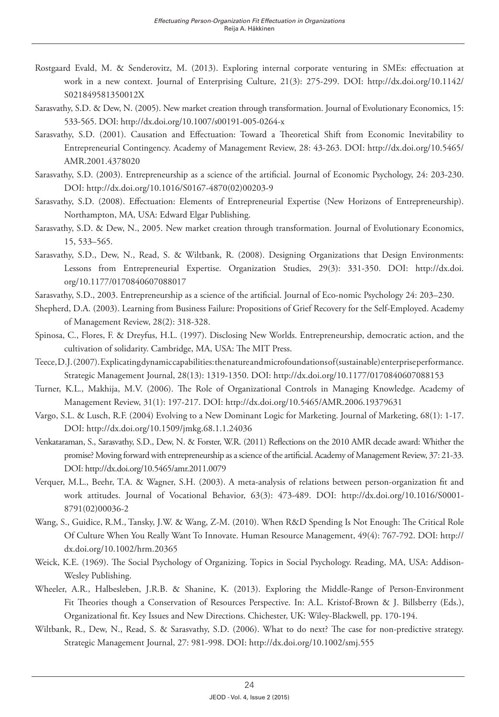- Rostgaard Evald, M. & Senderovitz, M. (2013). Exploring internal corporate venturing in SMEs: effectuation at work in a new context. Journal of Enterprising Culture, 21(3): 275-299. DOI: [http://dx.doi.org/10.1142/](http://dx.doi.org/10.1142/S021849581350012X) [S021849581350012X](http://dx.doi.org/10.1142/S021849581350012X)
- Sarasvathy, S.D. & Dew, N. (2005). New market creation through transformation. Journal of Evolutionary Economics, 15: 533-565. DOI:<http://dx.doi.org/10.1007/s00191-005-0264-x>
- Sarasvathy, S.D. (2001). Causation and Effectuation: Toward a Theoretical Shift from Economic Inevitability to Entrepreneurial Contingency. Academy of Management Review, 28: 43-263. DOI: [http://dx.doi.org/10.5465/](http://dx.doi.org/10.5465/AMR.2001.4378020) [AMR.2001.4378020](http://dx.doi.org/10.5465/AMR.2001.4378020)
- Sarasvathy, S.D. (2003). Entrepreneurship as a science of the artificial. Journal of Economic Psychology, 24: 203-230. DOI: [http://dx.doi.org/10.1016/S0167-4870\(02\)00203-9](http://dx.doi.org/10.1016/S0167-4870(02)00203-9)
- Sarasvathy, S.D. (2008). Effectuation: Elements of Entrepreneurial Expertise (New Horizons of Entrepreneurship). Northampton, MA, USA: Edward Elgar Publishing.
- Sarasvathy, S.D. & Dew, N., 2005. New market creation through transformation. Journal of Evolutionary Economics, 15, 533–565.
- Sarasvathy, S.D., Dew, N., Read, S. & Wiltbank, R. (2008). Designing Organizations that Design Environments: Lessons from Entrepreneurial Expertise. Organization Studies, 29(3): 331-350. DOI: [http://dx.doi.](http://dx.doi.org/10.1177/0170840607088017) [org/10.1177/0170840607088017](http://dx.doi.org/10.1177/0170840607088017)
- Sarasvathy, S.D., 2003. Entrepreneurship as a science of the artificial. Journal of Eco-nomic Psychology 24: 203–230.
- Shepherd, D.A. (2003). Learning from Business Failure: Propositions of Grief Recovery for the Self-Employed. Academy of Management Review, 28(2): 318-328.
- Spinosa, C., Flores, F. & Dreyfus, H.L. (1997). Disclosing New Worlds. Entrepreneurship, democratic action, and the cultivation of solidarity. Cambridge, MA, USA: The MIT Press.
- Teece, D.J. (2007). Explicating dynamic capabilities: the nature and microfoundations of (sustainable) enterprise performance. Strategic Management Journal, 28(13): 1319-1350. DOI: <http://dx.doi.org/10.1177/0170840607088153>
- Turner, K.L., Makhija, M.V. (2006). The Role of Organizational Controls in Managing Knowledge. Academy of Management Review, 31(1): 197-217. DOI:<http://dx.doi.org/10.5465/AMR.2006.19379631>
- Vargo, S.L. & Lusch, R.F. (2004) Evolving to a New Dominant Logic for Marketing. Journal of Marketing, 68(1): 1-17. DOI:<http://dx.doi.org/10.1509/jmkg.68.1.1.24036>
- Venkataraman, S., Sarasvathy, S.D., Dew, N. & Forster, W.R. (2011) Reflections on the 2010 AMR decade award: Whither the promise? Moving forward with entrepreneurship as a science of the artificial. Academy of Management Review, 37: 21-33. DOI:<http://dx.doi.org/10.5465/amr.2011.0079>
- Verquer, M.L., Beehr, T.A. & Wagner, S.H. (2003). A meta-analysis of relations between person-organization fit and work attitudes. Journal of Vocational Behavior, 63(3): 473-489. DOI: [http://dx.doi.org/10.1016/S0001-](http://dx.doi.org/10.1016/S0001-8791(02)00036-2) [8791\(02\)00036-2](http://dx.doi.org/10.1016/S0001-8791(02)00036-2)
- Wang, S., Guidice, R.M., Tansky, J.W. & Wang, Z-M. (2010). When R&D Spending Is Not Enough: The Critical Role Of Culture When You Really Want To Innovate. Human Resource Management, 49(4): 767-792. DOI: [http://](http://dx.doi.org/10.1002/hrm.20365) [dx.doi.org/10.1002/hrm.20365](http://dx.doi.org/10.1002/hrm.20365)
- Weick, K.E. (1969). The Social Psychology of Organizing. Topics in Social Psychology. Reading, MA, USA: Addison-Wesley Publishing.
- Wheeler, A.R., Halbesleben, J.R.B. & Shanine, K. (2013). Exploring the Middle-Range of Person-Environment Fit Theories though a Conservation of Resources Perspective. In: A.L. Kristof-Brown & J. Billsberry (Eds.), Organizational fit. Key Issues and New Directions. Chichester, UK: Wiley-Blackwell, pp. 170-194.
- Wiltbank, R., Dew, N., Read, S. & Sarasvathy, S.D. (2006). What to do next? The case for non-predictive strategy. Strategic Management Journal, 27: 981-998. DOI: <http://dx.doi.org/10.1002/smj.555>